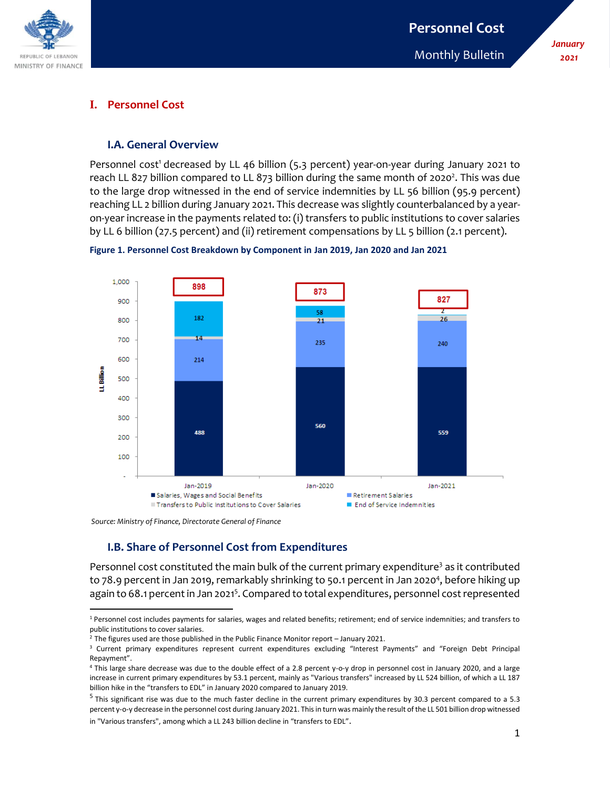

*January 2021*

## **I. Personnel Cost**

#### **I.A. General Overview**

Personnel cost<sup>1</sup> decreased by LL 46 billion (5.3 percent) year-on-year during January 2021 to reach LL 827 billion compared to LL 873 billion during the same month of 2020<sup>2</sup>. This was due to the large drop witnessed in the end of service indemnities by LL 56 billion (95.9 percent) reaching LL 2 billion during January 2021. This decrease was slightly counterbalanced by a yearon-year increase in the payments related to: (i) transfers to public institutions to cover salaries by LL 6 billion (27.5 percent) and (ii) retirement compensations by LL 5 billion (2.1 percent).





*Source: Ministry of Finance, Directorate General of Finance*

l

## **I.B. Share of Personnel Cost from Expenditures**

Personnel cost constituted the main bulk of the current primary expenditure<sup>3</sup> as it contributed to 78.9 percent in Jan 2019, remarkably shrinking to 50.1 percent in Jan 2020<sup>4</sup>, before hiking up again to 68.1 percent in Jan 2021<sup>5</sup>. Compared to total expenditures, personnel cost represented

<sup>1</sup> Personnel cost includes payments for salaries, wages and related benefits; retirement; end of service indemnities; and transfers to public institutions to cover salaries.

<sup>&</sup>lt;sup>2</sup> The figures used are those published in the Public Finance Monitor report - January 2021.

<sup>3</sup> Current primary expenditures represent current expenditures excluding "Interest Payments" and "Foreign Debt Principal Repayment".

<sup>4</sup> This large share decrease was due to the double effect of a 2.8 percent y-o-y drop in personnel cost in January 2020, and a large increase in current primary expenditures by 53.1 percent, mainly as "Various transfers" increased by LL 524 billion, of which a LL 187 billion hike in the "transfers to EDL" in January 2020 compared to January 2019.

 $^5$  This significant rise was due to the much faster decline in the current primary expenditures by 30.3 percent compared to a 5.3 percent y-o-y decrease in the personnel cost during January 2021. This in turn was mainly the result of the LL 501 billion drop witnessed in "Various transfers", among which a LL 243 billion decline in "transfers to EDL".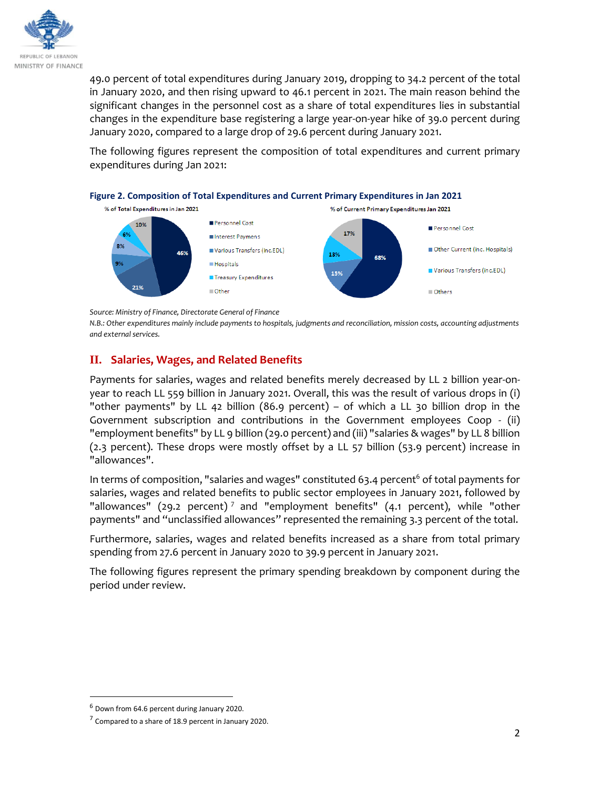

49.0 percent of total expenditures during January 2019, dropping to 34.2 percent of the total in January 2020, and then rising upward to 46.1 percent in 2021. The main reason behind the significant changes in the personnel cost as a share of total expenditures lies in substantial changes in the expenditure base registering a large year-on-year hike of 39.0 percent during January 2020, compared to a large drop of 29.6 percent during January 2021.

The following figures represent the composition of total expenditures and current primary expenditures during Jan 2021:



*Source: Ministry of Finance, Directorate General of Finance* 

*N.B.: Other expenditures mainly include payments to hospitals, judgments and reconciliation, mission costs, accounting adjustments and external services.* 

# **II. Salaries, Wages, and Related Benefits**

Payments for salaries, wages and related benefits merely decreased by LL 2 billion year-onyear to reach LL 559 billion in January 2021. Overall, this was the result of various drops in (i) "other payments" by LL 42 billion (86.9 percent) – of which a LL 30 billion drop in the Government subscription and contributions in the Government employees Coop - (ii) "employment benefits" by LL 9 billion (29.0 percent) and (iii) "salaries & wages" by LL 8 billion (2.3 percent). These drops were mostly offset by a LL 57 billion (53.9 percent) increase in "allowances".

In terms of composition, "salaries and wages" constituted 63.4 percent<sup>6</sup> of total payments for salaries, wages and related benefits to public sector employees in January 2021, followed by "allowances" (29.2 percent)<sup>7</sup> and "employment benefits" (4.1 percent), while "other payments" and "unclassified allowances" represented the remaining 3.3 percent of the total.

Furthermore, salaries, wages and related benefits increased as a share from total primary spending from 27.6 percent in January 2020 to 39.9 percent in January 2021.

The following figures represent the primary spending breakdown by component during the period under review.

 $\overline{\phantom{a}}$ 

 $<sup>6</sup>$  Down from 64.6 percent during January 2020.</sup>

 $7$  Compared to a share of 18.9 percent in January 2020.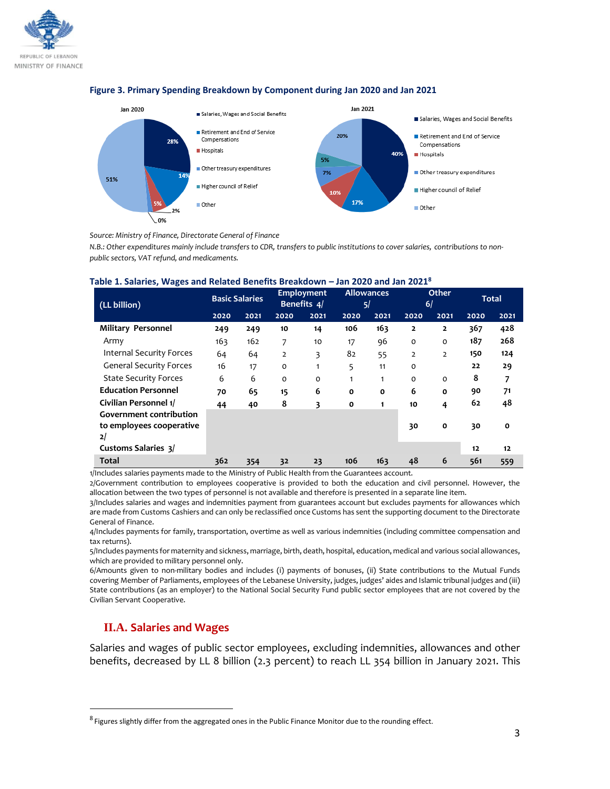



#### **Figure 3. Primary Spending Breakdown by Component during Jan 2020 and Jan 2021**

*Source: Ministry of Finance, Directorate General of Finance* 

*N.B.: Other expenditures mainly include transfers to CDR, transfers to public institutions to cover salaries, contributions to nonpublic sectors, VAT refund, and medicaments.*

|  |  | Table 1. Salaries, Wages and Related Benefits Breakdown – Jan 2020 and Jan 2021 $^8$ |  |  |  |
|--|--|--------------------------------------------------------------------------------------|--|--|--|
|--|--|--------------------------------------------------------------------------------------|--|--|--|

| (LL billion)                                                     | <b>Basic Salaries</b> |      | Employment<br>Benefits 4/ |              | <b>Allowances</b><br>5/ |              | Other<br>6/    |                | <b>Total</b> |              |
|------------------------------------------------------------------|-----------------------|------|---------------------------|--------------|-------------------------|--------------|----------------|----------------|--------------|--------------|
|                                                                  | 2020                  | 2021 | 2020                      | 2021         | 2020                    | 2021         | 2020           | 2021           | 2020         | 2021         |
| <b>Military Personnel</b>                                        | 249                   | 249  | 10                        | 14           | 106                     | 163          | $\overline{2}$ | $\overline{2}$ | 367          | 428          |
| Army                                                             | 163                   | 162  | 7                         | 10           | 17                      | 96           | $\mathbf 0$    | O              | 187          | 268          |
| <b>Internal Security Forces</b>                                  | 64                    | 64   | $\overline{2}$            | 3            | 82                      | 55           | $\overline{2}$ | $\overline{2}$ | 150          | 124          |
| <b>General Security Forces</b>                                   | 16                    | 17   | o                         | $\mathbf{1}$ | 5                       | 11           | $\Omega$       |                | 22           | 29           |
| <b>State Security Forces</b>                                     | 6                     | 6    | $\Omega$                  | O            |                         | 1            | $\Omega$       | $\Omega$       | 8            | 7            |
| <b>Education Personnel</b>                                       | 70                    | 65   | 15                        | 6            | $\mathbf{o}$            | $\mathbf{o}$ | 6              | $\mathbf{o}$   | 90           | 71           |
| Civilian Personnel 1/                                            | 44                    | 40   | 8                         | 3            | 0                       | 1            | 10             | 4              | 62           | 48           |
| <b>Government contribution</b><br>to employees cooperative<br>2/ |                       |      |                           |              |                         |              | 30             | $\mathbf{o}$   | 30           | $\mathbf{o}$ |
| <b>Customs Salaries 3/</b>                                       |                       |      |                           |              |                         |              |                |                | 12           | 12           |
| <b>Total</b>                                                     | 362                   | 354  | 32                        | 23           | 106                     | 163          | 48             | 6              | 561          | 559          |

1/Includes salaries payments made to the Ministry of Public Health from the Guarantees account.

2/Government contribution to employees cooperative is provided to both the education and civil personnel. However, the allocation between the two types of personnel is not available and therefore is presented in a separate line item.

3/Includes salaries and wages and indemnities payment from guarantees account but excludes payments for allowances which are made from Customs Cashiers and can only be reclassified once Customs has sent the supporting document to the Directorate General of Finance.

4/Includes payments for family, transportation, overtime as well as various indemnities (including committee compensation and tax returns).

5/Includes payments for maternity and sickness, marriage, birth, death, hospital, education, medical and various social allowances, which are provided to military personnel only.

6/Amounts given to non-military bodies and includes (i) payments of bonuses, (ii) State contributions to the Mutual Funds covering Member of Parliaments, employees of the Lebanese University, judges, judges' aides and Islamic tribunal judges and (iii) State contributions (as an employer) to the National Social Security Fund public sector employees that are not covered by the Civilian Servant Cooperative.

# **II.A. Salaries and Wages**

l

Salaries and wages of public sector employees, excluding indemnities, allowances and other benefits, decreased by LL 8 billion (2.3 percent) to reach LL 354 billion in January 2021. This

<sup>&</sup>lt;sup>8</sup> Figures slightly differ from the aggregated ones in the Public Finance Monitor due to the rounding effect.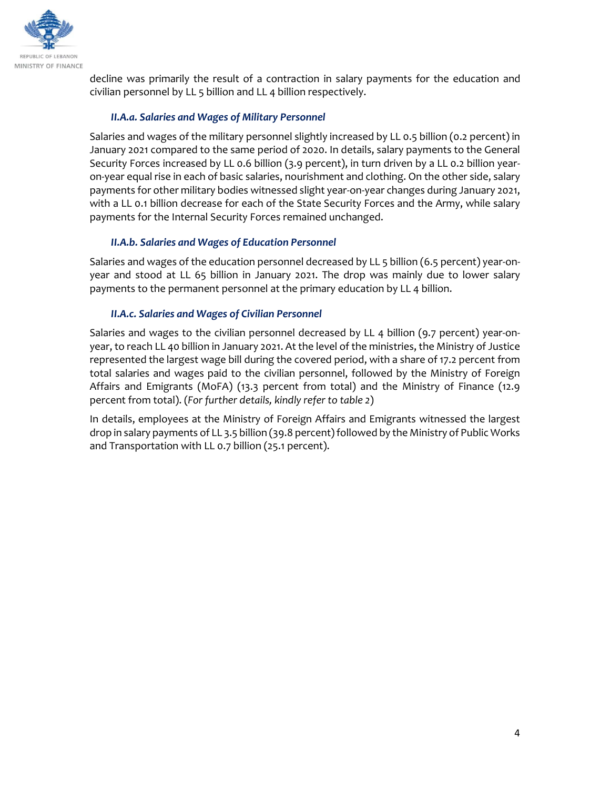

decline was primarily the result of a contraction in salary payments for the education and civilian personnel by LL 5 billion and LL 4 billion respectively.

## *II.A.a. Salaries and Wages of Military Personnel*

Salaries and wages of the military personnel slightly increased by LL 0.5 billion (0.2 percent) in January 2021 compared to the same period of 2020. In details, salary payments to the General Security Forces increased by LL 0.6 billion (3.9 percent), in turn driven by a LL 0.2 billion yearon-year equal rise in each of basic salaries, nourishment and clothing. On the other side, salary payments for other military bodies witnessed slight year-on-year changes during January 2021, with a LL 0.1 billion decrease for each of the State Security Forces and the Army, while salary payments for the Internal Security Forces remained unchanged.

## *II.A.b. Salaries and Wages of Education Personnel*

Salaries and wages of the education personnel decreased by LL 5 billion (6.5 percent) year-onyear and stood at LL 65 billion in January 2021. The drop was mainly due to lower salary payments to the permanent personnel at the primary education by LL 4 billion.

## *II.A.c. Salaries and Wages of Civilian Personnel*

Salaries and wages to the civilian personnel decreased by LL 4 billion (9.7 percent) year-onyear, to reach LL 40 billion in January 2021. At the level of the ministries, the Ministry of Justice represented the largest wage bill during the covered period, with a share of 17.2 percent from total salaries and wages paid to the civilian personnel, followed by the Ministry of Foreign Affairs and Emigrants (MoFA) (13.3 percent from total) and the Ministry of Finance (12.9 percent from total). (*For further details, kindly refer to table 2*)

In details, employees at the Ministry of Foreign Affairs and Emigrants witnessed the largest drop in salary payments of LL 3.5 billion (39.8 percent) followed by the Ministry of Public Works and Transportation with LL 0.7 billion (25.1 percent).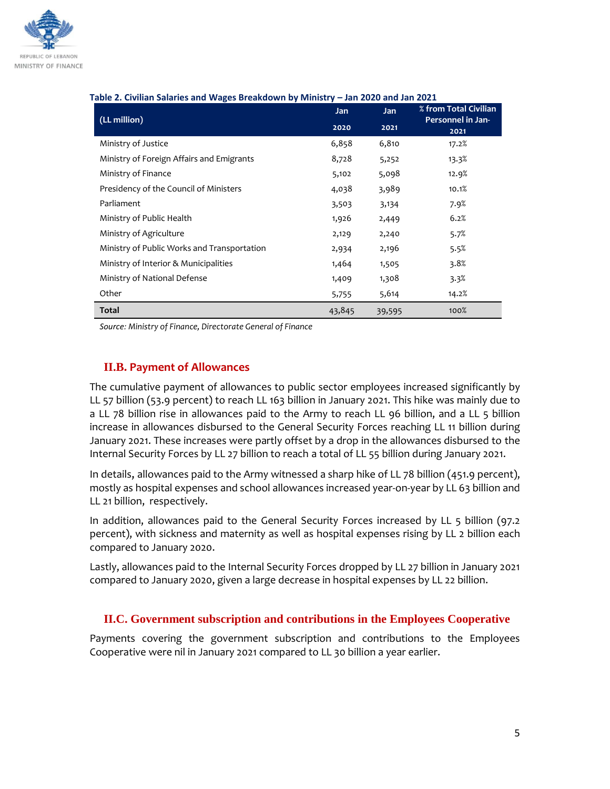

| (LL million)                                | <b>Jan</b> | <b>Jan</b> | able 2. Civilian Salaries and Wages breakdown by Ministry – Jan 2020 and Jan 2021<br>% from Total Civilian |  |
|---------------------------------------------|------------|------------|------------------------------------------------------------------------------------------------------------|--|
|                                             | 2020       | 2021       | Personnel in Jan-<br>2021                                                                                  |  |
| Ministry of Justice                         | 6,858      | 6,810      | 17.2%                                                                                                      |  |
| Ministry of Foreign Affairs and Emigrants   | 8,728      | 5,252      | 13.3%                                                                                                      |  |
| Ministry of Finance                         | 5,102      | 5,098      | 12.9%                                                                                                      |  |
| Presidency of the Council of Ministers      | 4,038      | 3,989      | 10.1%                                                                                                      |  |
| Parliament                                  | 3,503      | 3,134      | 7.9%                                                                                                       |  |
| Ministry of Public Health                   | 1,926      | 2,449      | 6.2%                                                                                                       |  |
| Ministry of Agriculture                     | 2,129      | 2,240      | 5.7%                                                                                                       |  |
| Ministry of Public Works and Transportation | 2,934      | 2,196      | 5.5%                                                                                                       |  |
| Ministry of Interior & Municipalities       | 1,464      | 1,505      | 3.8%                                                                                                       |  |
| Ministry of National Defense                | 1,409      | 1,308      | 3.3%                                                                                                       |  |
| Other                                       | 5,755      | 5,614      | 14.2%                                                                                                      |  |
| <b>Total</b>                                | 43,845     | 39,595     | 100%                                                                                                       |  |

#### **Table 2. Civilian Salaries and Wages Breakdown by Ministry – Jan 2020 and Jan 2021**

*Source: Ministry of Finance, Directorate General of Finance* 

## **II.B. Payment of Allowances**

The cumulative payment of allowances to public sector employees increased significantly by LL 57 billion (53.9 percent) to reach LL 163 billion in January 2021. This hike was mainly due to a LL 78 billion rise in allowances paid to the Army to reach LL 96 billion, and a LL 5 billion increase in allowances disbursed to the General Security Forces reaching LL 11 billion during January 2021. These increases were partly offset by a drop in the allowances disbursed to the Internal Security Forces by LL 27 billion to reach a total of LL 55 billion during January 2021.

In details, allowances paid to the Army witnessed a sharp hike of LL 78 billion (451.9 percent), mostly as hospital expenses and school allowances increased year-on-year by LL 63 billion and LL 21 billion, respectively.

In addition, allowances paid to the General Security Forces increased by LL 5 billion (97.2 percent), with sickness and maternity as well as hospital expenses rising by LL 2 billion each compared to January 2020.

Lastly, allowances paid to the Internal Security Forces dropped by LL 27 billion in January 2021 compared to January 2020, given a large decrease in hospital expenses by LL 22 billion.

#### **II.C. Government subscription and contributions in the Employees Cooperative**

Payments covering the government subscription and contributions to the Employees Cooperative were nil in January 2021 compared to LL 30 billion a year earlier.